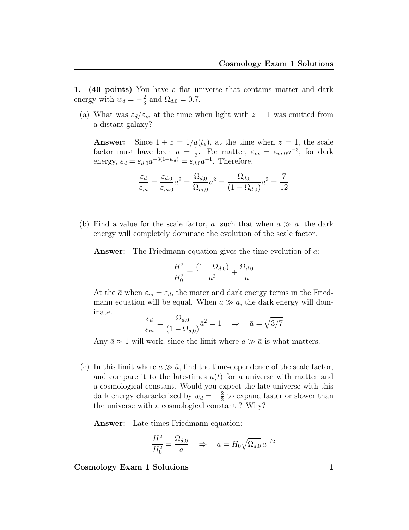1. (40 points) You have a flat universe that contains matter and dark energy with  $w_d = -\frac{2}{3}$  $\frac{2}{3}$  and  $\Omega_{d,0} = 0.7$ .

(a) What was  $\varepsilon_d/\varepsilon_m$  at the time when light with  $z=1$  was emitted from a distant galaxy?

**Answer:** Since  $1 + z = 1/a(t_e)$ , at the time when  $z = 1$ , the scale factor must have been  $a = \frac{1}{2}$ . For matter,  $\varepsilon_m = \varepsilon_{m,0} a^{-3}$ ; for dark energy,  $\varepsilon_d = \varepsilon_{d,0} a^{-3(1+w_d)} = \varepsilon_{d,0} a^{-1}$ . Therefore,

$$
\frac{\varepsilon_d}{\varepsilon_m} = \frac{\varepsilon_{d,0}}{\varepsilon_{m,0}} a^2 = \frac{\Omega_{d,0}}{\Omega_{m,0}} a^2 = \frac{\Omega_{d,0}}{(1 - \Omega_{d,0})} a^2 = \frac{7}{12}
$$

(b) Find a value for the scale factor,  $\bar{a}$ , such that when  $a \gg \bar{a}$ , the dark energy will completely dominate the evolution of the scale factor.

Answer: The Friedmann equation gives the time evolution of a:

$$
\frac{H^2}{H_0^2} = \frac{(1 - \Omega_{d,0})}{a^3} + \frac{\Omega_{d,0}}{a}
$$

At the  $\bar{a}$  when  $\varepsilon_m = \varepsilon_d$ , the mater and dark energy terms in the Friedmann equation will be equal. When  $a \gg \bar{a}$ , the dark energy will dominate.

$$
\frac{\varepsilon_d}{\varepsilon_m} = \frac{\Omega_{d,0}}{(1 - \Omega_{d,0})}\bar{a}^2 = 1 \quad \Rightarrow \quad \bar{a} = \sqrt{3/7}
$$

Any  $\bar{a} \approx 1$  will work, since the limit where  $a \gg \bar{a}$  is what matters.

(c) In this limit where  $a \gg \bar{a}$ , find the time-dependence of the scale factor, and compare it to the late-times  $a(t)$  for a universe with matter and a cosmological constant. Would you expect the late universe with this dark energy characterized by  $w_d = -\frac{2}{3}$  $\frac{2}{3}$  to expand faster or slower than the universe with a cosmological constant ? Why?

Answer: Late-times Friedmann equation:

$$
\frac{H^2}{H_0^2} = \frac{\Omega_{d,0}}{a} \quad \Rightarrow \quad \dot{a} = H_0 \sqrt{\Omega_{d,0}} \, a^{1/2}
$$

Cosmology Exam 1 Solutions 1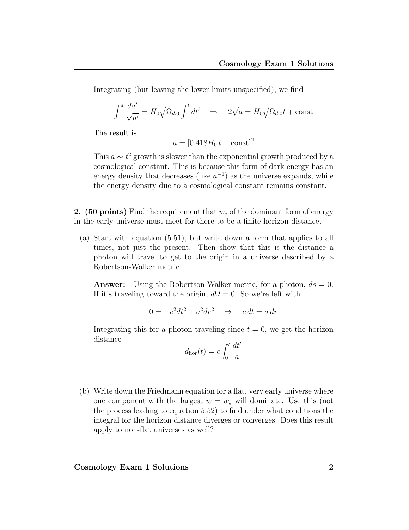Integrating (but leaving the lower limits unspecified), we find

$$
\int^a \frac{da'}{\sqrt{a'}} = H_0 \sqrt{\Omega_{d,0}} \int^t dt' \quad \Rightarrow \quad 2\sqrt{a} = H_0 \sqrt{\Omega_{d,0}} t + \text{const}
$$

The result is

$$
a = [0.418H_0 t + \text{const}]^2
$$

This  $a \sim t^2$  growth is slower than the exponential growth produced by a cosmological constant. This is because this form of dark energy has an energy density that decreases (like  $a^{-1}$ ) as the universe expands, while the energy density due to a cosmological constant remains constant.

2. (50 points) Find the requirement that  $w_e$  of the dominant form of energy in the early universe must meet for there to be a finite horizon distance.

(a) Start with equation (5.51), but write down a form that applies to all times, not just the present. Then show that this is the distance a photon will travel to get to the origin in a universe described by a Robertson-Walker metric.

**Answer:** Using the Robertson-Walker metric, for a photon,  $ds = 0$ . If it's traveling toward the origin,  $d\Omega = 0$ . So we're left with

$$
0 = -c^2 dt^2 + a^2 dr^2 \quad \Rightarrow \quad c \, dt = a \, dr
$$

Integrating this for a photon traveling since  $t = 0$ , we get the horizon distance

$$
d_{\rm hor}(t) = c \int_0^t \frac{dt'}{a}
$$

(b) Write down the Friedmann equation for a flat, very early universe where one component with the largest  $w = w_e$  will dominate. Use this (not the process leading to equation 5.52) to find under what conditions the integral for the horizon distance diverges or converges. Does this result apply to non-flat universes as well?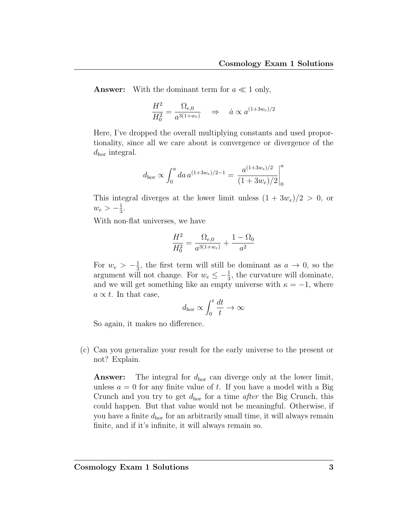**Answer:** With the dominant term for  $a \ll 1$  only,

$$
\frac{H^2}{H_0^2} = \frac{\Omega_{e,0}}{a^{3(1+w_e)}} \quad \Rightarrow \quad \dot{a} \propto a^{(1+3w_e)/2}
$$

Here, I've dropped the overall multiplying constants and used proportionality, since all we care about is convergence or divergence of the  $d_{\text{hor}}$  integral.

$$
d_{\rm hor} \propto \int_0^a da \, a^{(1+3w_e)/2-1} = \left. \frac{a^{(1+3w_e)/2}}{(1+3w_e)/2} \right|_0^a
$$

This integral diverges at the lower limit unless  $(1 + 3w_e)/2 > 0$ , or  $w_e > -\frac{1}{3}$  $\frac{1}{3}$ .

With non-flat universes, we have

$$
\frac{H^2}{H_0^2} = \frac{\Omega_{e,0}}{a^{3(1+w_e)}} + \frac{1-\Omega_0}{a^2}
$$

For  $w_e > -\frac{1}{3}$  $\frac{1}{3}$ , the first term will still be dominant as  $a \to 0$ , so the argument will not change. For  $w_e \leq -\frac{1}{3}$ , the curvature will dominate, and we will get something like an empty universe with  $\kappa = -1$ , where  $a \propto t$ . In that case,

$$
d_{\rm hor} \propto \int_0^t \frac{dt}{t} \to \infty
$$

So again, it makes no difference.

(c) Can you generalize your result for the early universe to the present or not? Explain.

**Answer:** The integral for  $d_{\text{hor}}$  can diverge only at the lower limit, unless  $a = 0$  for any finite value of t. If you have a model with a Big Crunch and you try to get  $d_{\text{hor}}$  for a time *after* the Big Crunch, this could happen. But that value would not be meaningful. Otherwise, if you have a finite  $d_{\text{hor}}$  for an arbitrarily small time, it will always remain finite, and if it's infinite, it will always remain so.